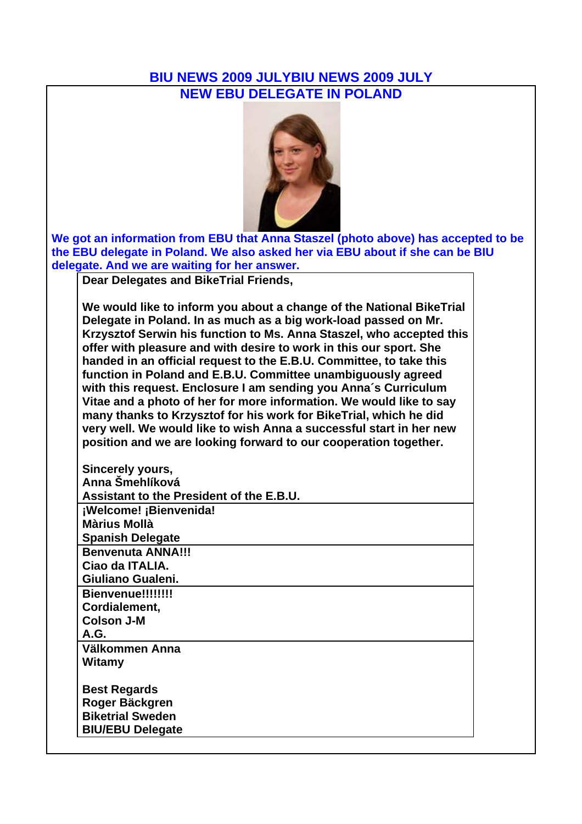#### **BIU NEWS 2009 JULYBIU NEWS 2009 JULY NEW EBU DELEGATE IN POLAND**



**We got an information from EBU that Anna Staszel (photo above) has accepted to be the EBU delegate in Poland. We also asked her via EBU about if she can be BIU delegate. And we are waiting for her answer.** 

**Dear Delegates and BikeTrial Friends,**

**We would like to inform you about a change of the National BikeTrial Delegate in Poland. In as much as a big work-load passed on Mr. Krzysztof Serwin his function to Ms. Anna Staszel, who accepted this offer with pleasure and with desire to work in this our sport. She handed in an official request to the E.B.U. Committee, to take this function in Poland and E.B.U. Committee unambiguously agreed with this request. Enclosure I am sending you Anna´s Curriculum Vitae and a photo of her for more information. We would like to say many thanks to Krzysztof for his work for BikeTrial, which he did very well. We would like to wish Anna a successful start in her new position and we are looking forward to our cooperation together.**

| Sincerely yours,                         |
|------------------------------------------|
| Anna Šmehlíková                          |
| Assistant to the President of the E.B.U. |
| ¡Welcome! ¡Bienvenida!                   |
| <b>Màrius Mollà</b>                      |
| <b>Spanish Delegate</b>                  |
| <b>Benvenuta ANNA!!!</b>                 |
| Ciao da ITALIA.                          |
| Giuliano Gualeni.                        |
| Bienvenue!!!!!!!!                        |
| Cordialement,                            |
| <b>Colson J-M</b>                        |
| <b>A.G.</b>                              |
| Välkommen Anna                           |
| Witamy                                   |
| <b>Best Regards</b>                      |
| Roger Bäckgren                           |
| <b>Biketrial Sweden</b>                  |
| <b>BIU/EBU Delegate</b>                  |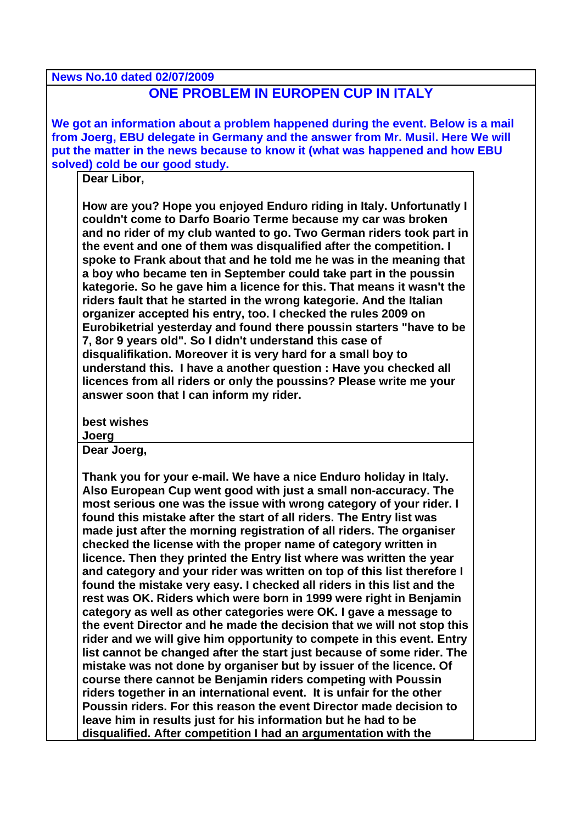#### **News No.10 dated 02/07/2009 ONE PROBLEM IN EUROPEN CUP IN ITALY**

**We got an information about a problem happened during the event. Below is a mail from Joerg, EBU delegate in Germany and the answer from Mr. Musil. Here We will put the matter in the news because to know it (what was happened and how EBU solved) cold be our good study.**

**Dear Libor,** 

**How are you? Hope you enjoyed Enduro riding in Italy. Unfortunatly I couldn't come to Darfo Boario Terme because my car was broken and no rider of my club wanted to go. Two German riders took part in the event and one of them was disqualified after the competition. I spoke to Frank about that and he told me he was in the meaning that a boy who became ten in September could take part in the poussin kategorie. So he gave him a licence for this. That means it wasn't the riders fault that he started in the wrong kategorie. And the Italian organizer accepted his entry, too. I checked the rules 2009 on Eurobiketrial yesterday and found there poussin starters "have to be 7, 8or 9 years old". So I didn't understand this case of disqualifikation. Moreover it is very hard for a small boy to understand this. I have a another question : Have you checked all licences from all riders or only the poussins? Please write me your answer soon that I can inform my rider.** 

**best wishes** 

#### **Joerg**

**Dear Joerg,** 

**Thank you for your e-mail. We have a nice Enduro holiday in Italy. Also European Cup went good with just a small non-accuracy. The most serious one was the issue with wrong category of your rider. I found this mistake after the start of all riders. The Entry list was made just after the morning registration of all riders. The organiser checked the license with the proper name of category written in licence. Then they printed the Entry list where was written the year and category and your rider was written on top of this list therefore I found the mistake very easy. I checked all riders in this list and the rest was OK. Riders which were born in 1999 were right in Benjamin category as well as other categories were OK. I gave a message to the event Director and he made the decision that we will not stop this rider and we will give him opportunity to compete in this event. Entry list cannot be changed after the start just because of some rider. The mistake was not done by organiser but by issuer of the licence. Of course there cannot be Benjamin riders competing with Poussin riders together in an international event. It is unfair for the other Poussin riders. For this reason the event Director made decision to leave him in results just for his information but he had to be disqualified. After competition I had an argumentation with the**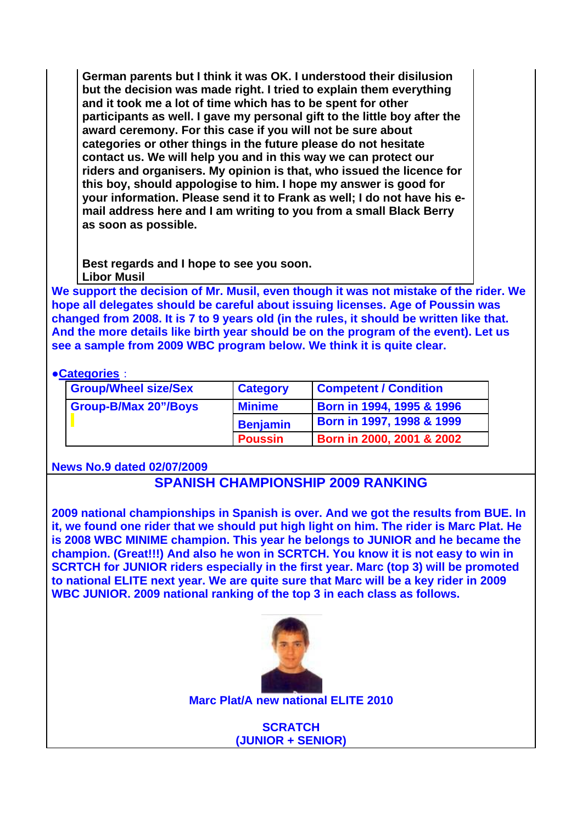**German parents but I think it was OK. I understood their disilusion but the decision was made right. I tried to explain them everything and it took me a lot of time which has to be spent for other participants as well. I gave my personal gift to the little boy after the award ceremony. For this case if you will not be sure about categories or other things in the future please do not hesitate contact us. We will help you and in this way we can protect our riders and organisers. My opinion is that, who issued the licence for this boy, should appologise to him. I hope my answer is good for your information. Please send it to Frank as well; I do not have his email address here and I am writing to you from a small Black Berry as soon as possible.** 

**Best regards and I hope to see you soon. Libor Musil**

**We support the decision of Mr. Musil, even though it was not mistake of the rider. We hope all delegates should be careful about issuing licenses. Age of Poussin was changed from 2008. It is 7 to 9 years old (in the rules, it should be written like that. And the more details like birth year should be on the program of the event). Let us see a sample from 2009 WBC program below. We think it is quite clear.** 

#### ●**Categories**:

| <b>Group/Wheel size/Sex</b> | <b>Category</b> | <b>Competent / Condition</b> |
|-----------------------------|-----------------|------------------------------|
| <b>Group-B/Max 20"/Boys</b> | <b>Minime</b>   | Born in 1994, 1995 & 1996    |
|                             | <b>Benjamin</b> | Born in 1997, 1998 & 1999    |
|                             | <b>Poussin</b>  | Born in 2000, 2001 & 2002    |

#### **News No.9 dated 02/07/2009**

## **SPANISH CHAMPIONSHIP 2009 RANKING**

**2009 national championships in Spanish is over. And we got the results from BUE. In it, we found one rider that we should put high light on him. The rider is Marc Plat. He is 2008 WBC MINIME champion. This year he belongs to JUNIOR and he became the champion. (Great!!!) And also he won in SCRTCH. You know it is not easy to win in SCRTCH for JUNIOR riders especially in the first year. Marc (top 3) will be promoted to national ELITE next year. We are quite sure that Marc will be a key rider in 2009 WBC JUNIOR. 2009 national ranking of the top 3 in each class as follows.**



**Marc Plat/A new national ELITE 2010**

**SCRATCH (JUNIOR + SENIOR)**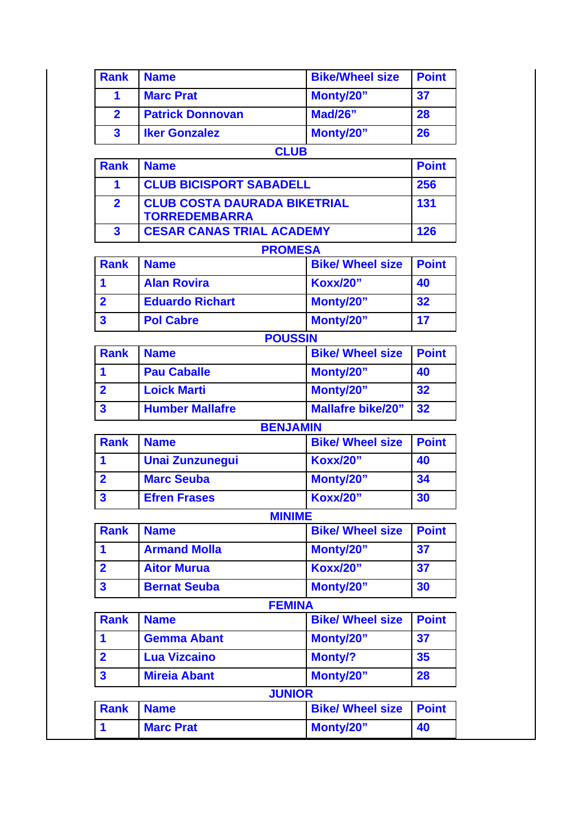| <b>Rank</b>  | <b>Name</b>             | <b>Bike/Wheel size</b> | <b>Point</b> |
|--------------|-------------------------|------------------------|--------------|
|              | <b>Marc Prat</b>        | Monty/20"              | 37           |
| $\mathbf{2}$ | <b>Patrick Donnovan</b> | <b>Mad/26"</b>         | 28           |
| $\mathbf{3}$ | <b>Iker Gonzalez</b>    | Monty/20"              | 26           |
|              |                         | <b>CLUB</b>            |              |
| <b>Dank</b>  | <b>Namo</b>             |                        | <b>Daint</b> |

| <b>Rank</b> | <b>Name</b>                                                 | <b>Point</b> |
|-------------|-------------------------------------------------------------|--------------|
|             | <b>CLUB BICISPORT SABADELL</b>                              | 256          |
|             | <b>CLUB COSTA DAURADA BIKETRIAL</b><br><b>TORREDEMBARRA</b> | 131          |
| 3           | <b>CESAR CANAS TRIAL ACADEMY</b>                            | 126          |

## **PROMESA**

| Rank | <b>Name</b>            | <b>Bike/ Wheel size</b> | <b>Point</b> |
|------|------------------------|-------------------------|--------------|
|      | <b>Alan Rovira</b>     | <b>Koxx/20"</b>         | 40           |
| l 2  | <b>Eduardo Richart</b> | Monty/20"               | 32           |
|      | <b>Pol Cabre</b>       | Monty/20"               | 17           |

# **POUSSIN Rank Name Bike/ Wheel size Point 1 Pau Caballe Monty/20" 40 2 Loick Marti Monty/20" 32 3 Humber Mallafre Mallafre bike/20" 32**

#### **BENJAMIN**

| <b>Rank</b> | <b>Name</b>            | <b>Bike/ Wheel size</b> | <b>Point</b> |
|-------------|------------------------|-------------------------|--------------|
|             | <b>Unai Zunzunegui</b> | <b>Koxx/20"</b>         | 40           |
|             | <b>Marc Seuba</b>      | Monty/20"               | 34           |
|             | <b>Efren Frases</b>    | <b>Koxx/20"</b>         | 30           |

## **MINIME**

| Rank                    | I Name              | <b>Bike/ Wheel size   Point</b> |    |
|-------------------------|---------------------|---------------------------------|----|
|                         | <b>Armand Molla</b> | Monty/20"                       | 37 |
| $\overline{\mathbf{2}}$ | <b>Aitor Murua</b>  | <b>Koxx/20"</b>                 | 37 |
| <b>3</b>                | <b>Bernat Seuba</b> | Monty/20"                       | 30 |

|                | <b>FEMINA</b>       |                         |              |
|----------------|---------------------|-------------------------|--------------|
| <b>Rank</b>    | <b>Name</b>         | <b>Bike/ Wheel size</b> | <b>Point</b> |
| 1              | <b>Gemma Abant</b>  | Monty/20"               | 37           |
| $\overline{2}$ | <b>Lua Vizcaino</b> | <b>Monty/?</b>          | 35           |
| $\mathbf{3}$   | <b>Mireia Abant</b> | Monty/20"               | 28           |
|                | <b>JUNIOR</b>       |                         |              |
| <b>Rank</b>    | <b>Name</b>         | <b>Bike/ Wheel size</b> | <b>Point</b> |
|                | <b>Marc Prat</b>    | Monty/20"               | 40           |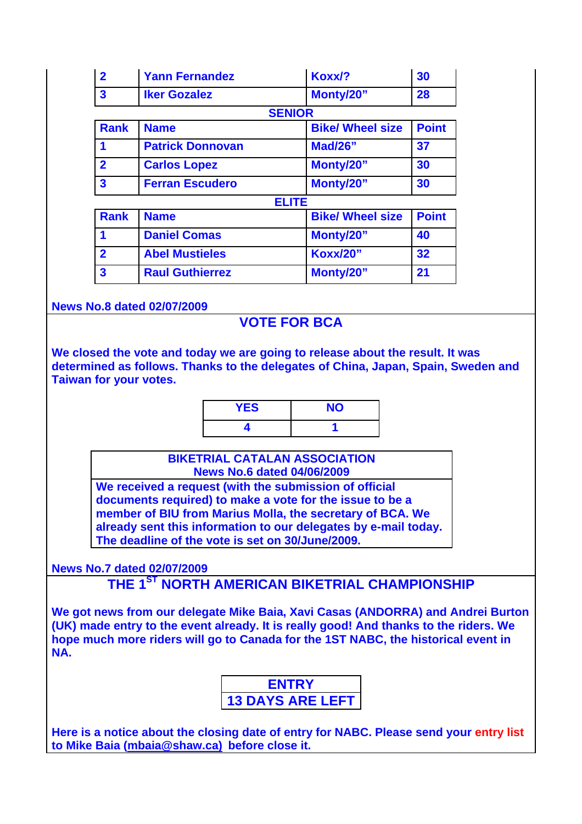| $\overline{\mathbf{2}}$ | <b>Yann Fernandez</b>   | Koxx/?                  | 30           |
|-------------------------|-------------------------|-------------------------|--------------|
| $\mathbf{3}$            | <b>Iker Gozalez</b>     | Monty/20"               | 28           |
|                         | <b>SENIOR</b>           |                         |              |
| <b>Rank</b>             | <b>Name</b>             | <b>Bike/ Wheel size</b> | <b>Point</b> |
| 1                       | <b>Patrick Donnovan</b> | <b>Mad/26"</b>          | 37           |
| $\overline{2}$          | <b>Carlos Lopez</b>     | Monty/20"               | 30           |
| $\overline{\mathbf{3}}$ | <b>Ferran Escudero</b>  | Monty/20"               | 30           |
|                         | <b>ELITE</b>            |                         |              |
| <b>Rank</b>             | <b>Name</b>             | <b>Bike/ Wheel size</b> | <b>Point</b> |
| 1                       | <b>Daniel Comas</b>     | Monty/20"               | 40           |
| $\overline{\mathbf{2}}$ | <b>Abel Mustieles</b>   | <b>Koxx/20"</b>         | 32           |
| $\overline{\mathbf{3}}$ | <b>Raul Guthierrez</b>  | Monty/20"               | 21           |

**News No.8 dated 02/07/2009**

## **VOTE FOR BCA**

**We closed the vote and today we are going to release about the result. It was determined as follows. Thanks to the delegates of China, Japan, Spain, Sweden and Taiwan for your votes.**

| <b>YES</b> | <b>NO</b> |
|------------|-----------|
|            |           |

**BIKETRIAL CATALAN ASSOCIATION News No.6 dated 04/06/2009**

**We received a request (with the submission of official documents required) to make a vote for the issue to be a member of BIU from Marius Molla, the secretary of BCA. We already sent this information to our delegates by e-mail today. The deadline of the vote is set on 30/June/2009.** 

**News No.7 dated 02/07/2009**

**THE 1ST NORTH AMERICAN BIKETRIAL CHAMPIONSHIP**

**We got news from our delegate Mike Baia, Xavi Casas (ANDORRA) and Andrei Burton (UK) made entry to the event already. It is really good! And thanks to the riders. We hope much more riders will go to Canada for the 1ST NABC, the historical event in NA.**

| <b>ENTRY</b>            |
|-------------------------|
| <b>13 DAYS ARE LEFT</b> |

**Here is a notice about the closing date of entry for NABC. Please send your entry list to Mike Baia (mbaia@shaw.ca) before close it.**